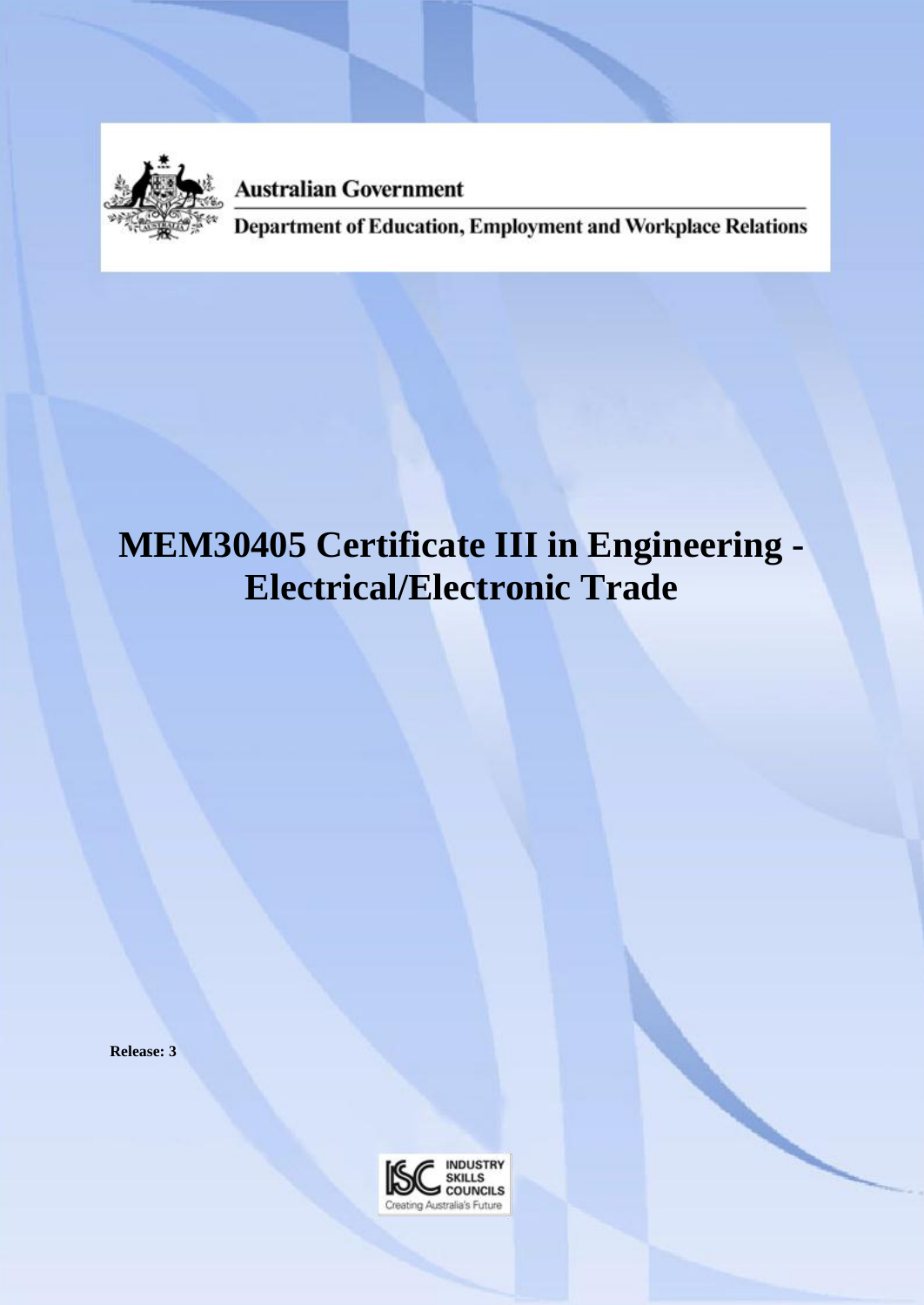

**Australian Government** 

Department of Education, Employment and Workplace Relations

# **MEM30405 Certificate III in Engineering - Electrical/Electronic Trade**

**Release: 3**

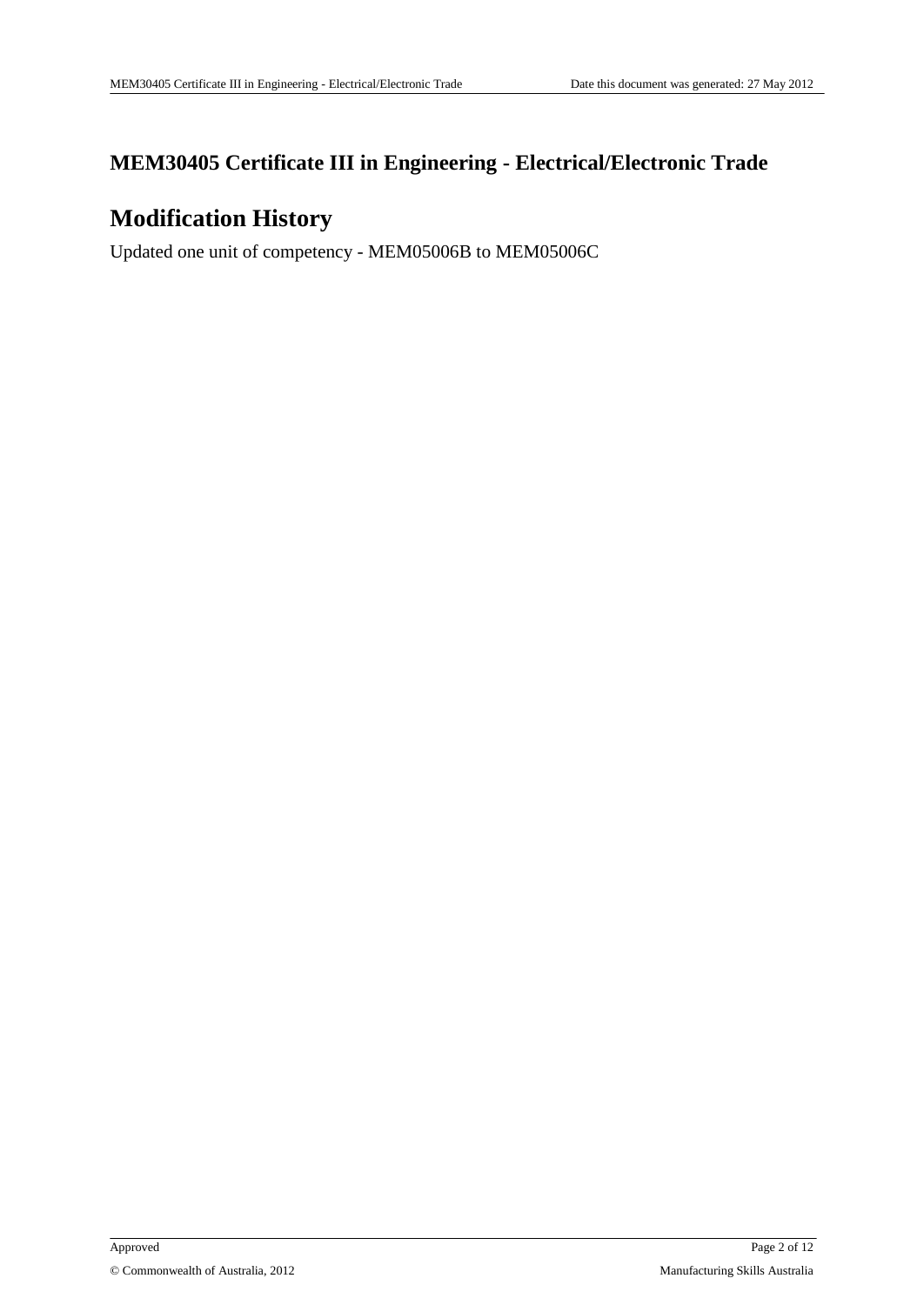### **MEM30405 Certificate III in Engineering - Electrical/Electronic Trade**

# **Modification History**

Updated one unit of competency - MEM05006B to MEM05006C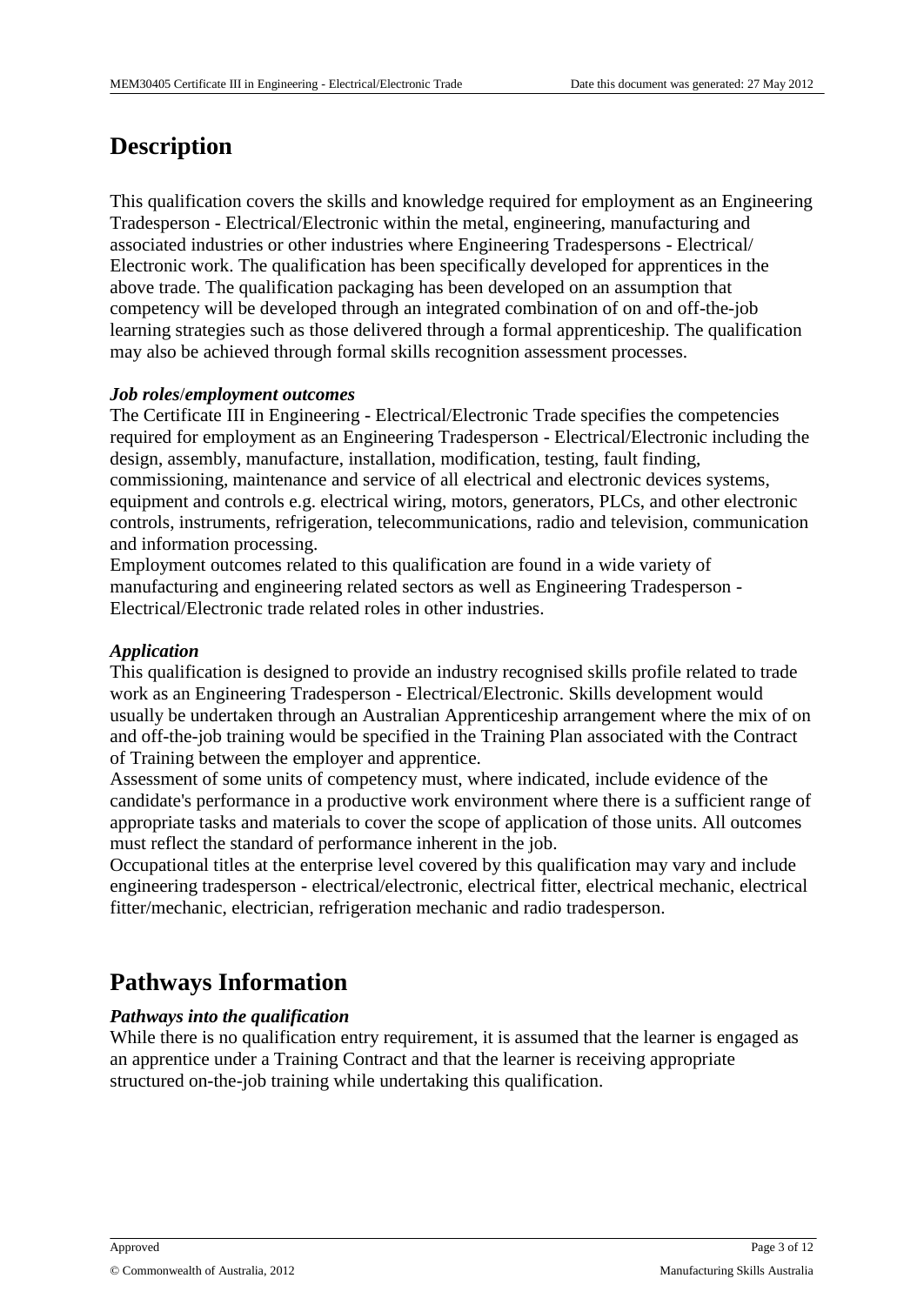# **Description**

This qualification covers the skills and knowledge required for employment as an Engineering Tradesperson - Electrical/Electronic within the metal, engineering, manufacturing and associated industries or other industries where Engineering Tradespersons - Electrical/ Electronic work. The qualification has been specifically developed for apprentices in the above trade. The qualification packaging has been developed on an assumption that competency will be developed through an integrated combination of on and off-the-job learning strategies such as those delivered through a formal apprenticeship. The qualification may also be achieved through formal skills recognition assessment processes.

#### *Job roles*/*employment outcomes*

The Certificate III in Engineering - Electrical/Electronic Trade specifies the competencies required for employment as an Engineering Tradesperson - Electrical/Electronic including the design, assembly, manufacture, installation, modification, testing, fault finding, commissioning, maintenance and service of all electrical and electronic devices systems, equipment and controls e.g. electrical wiring, motors, generators, PLCs, and other electronic controls, instruments, refrigeration, telecommunications, radio and television, communication and information processing.

Employment outcomes related to this qualification are found in a wide variety of manufacturing and engineering related sectors as well as Engineering Tradesperson - Electrical/Electronic trade related roles in other industries.

#### *Application*

This qualification is designed to provide an industry recognised skills profile related to trade work as an Engineering Tradesperson - Electrical/Electronic. Skills development would usually be undertaken through an Australian Apprenticeship arrangement where the mix of on and off-the-job training would be specified in the Training Plan associated with the Contract of Training between the employer and apprentice.

Assessment of some units of competency must, where indicated, include evidence of the candidate's performance in a productive work environment where there is a sufficient range of appropriate tasks and materials to cover the scope of application of those units. All outcomes must reflect the standard of performance inherent in the job.

Occupational titles at the enterprise level covered by this qualification may vary and include engineering tradesperson - electrical/electronic, electrical fitter, electrical mechanic, electrical fitter/mechanic, electrician, refrigeration mechanic and radio tradesperson.

# **Pathways Information**

### *Pathways into the qualification*

While there is no qualification entry requirement, it is assumed that the learner is engaged as an apprentice under a Training Contract and that the learner is receiving appropriate structured on-the-job training while undertaking this qualification.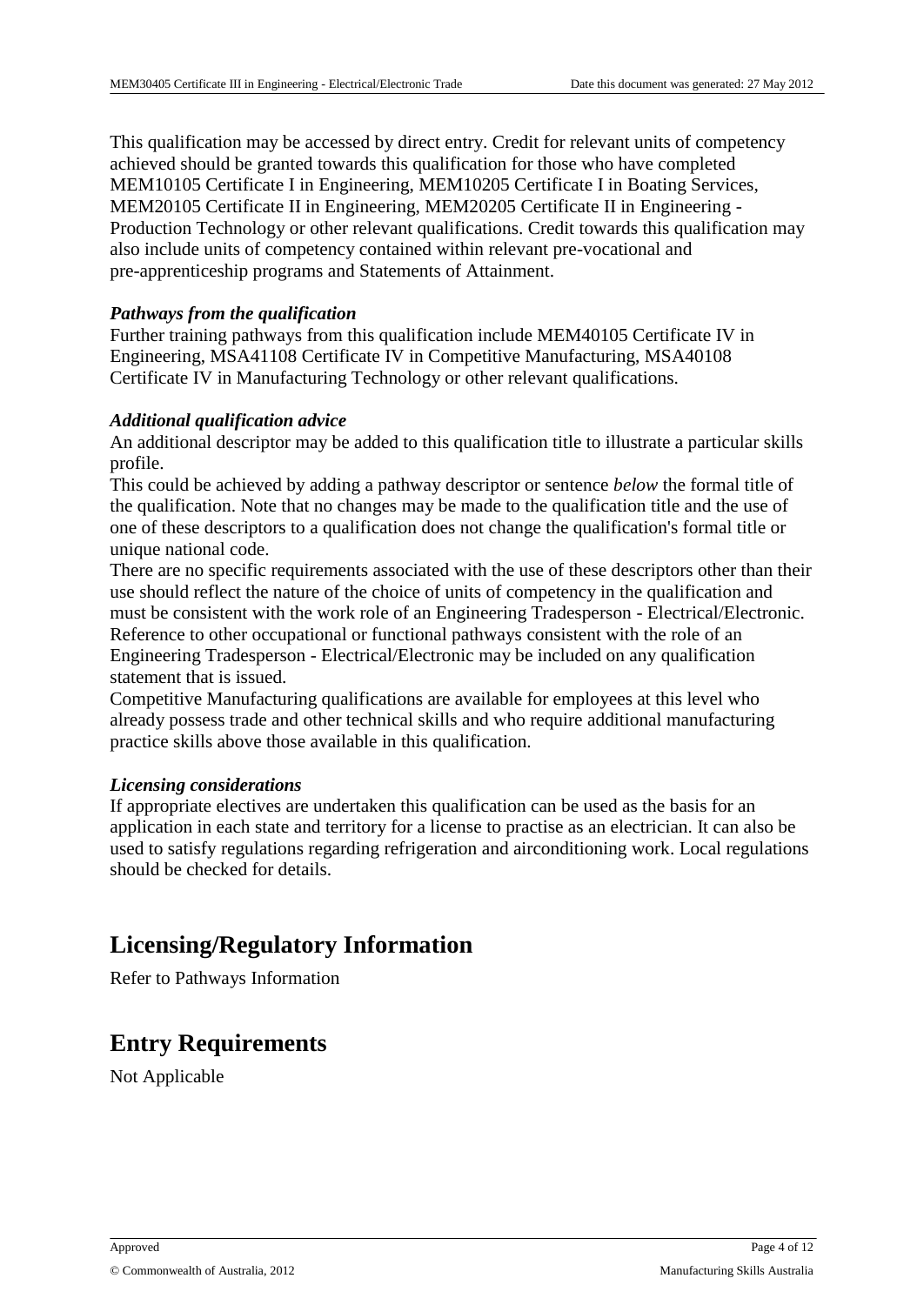This qualification may be accessed by direct entry. Credit for relevant units of competency achieved should be granted towards this qualification for those who have completed MEM10105 Certificate I in Engineering, MEM10205 Certificate I in Boating Services, MEM20105 Certificate II in Engineering, MEM20205 Certificate II in Engineering - Production Technology or other relevant qualifications. Credit towards this qualification may also include units of competency contained within relevant pre-vocational and pre-apprenticeship programs and Statements of Attainment.

#### *Pathways from the qualification*

Further training pathways from this qualification include MEM40105 Certificate IV in Engineering, MSA41108 Certificate IV in Competitive Manufacturing, MSA40108 Certificate IV in Manufacturing Technology or other relevant qualifications.

#### *Additional qualification advice*

An additional descriptor may be added to this qualification title to illustrate a particular skills profile.

This could be achieved by adding a pathway descriptor or sentence *below* the formal title of the qualification. Note that no changes may be made to the qualification title and the use of one of these descriptors to a qualification does not change the qualification's formal title or unique national code.

There are no specific requirements associated with the use of these descriptors other than their use should reflect the nature of the choice of units of competency in the qualification and must be consistent with the work role of an Engineering Tradesperson - Electrical/Electronic. Reference to other occupational or functional pathways consistent with the role of an Engineering Tradesperson - Electrical/Electronic may be included on any qualification statement that is issued.

Competitive Manufacturing qualifications are available for employees at this level who already possess trade and other technical skills and who require additional manufacturing practice skills above those available in this qualification.

#### *Licensing considerations*

If appropriate electives are undertaken this qualification can be used as the basis for an application in each state and territory for a license to practise as an electrician. It can also be used to satisfy regulations regarding refrigeration and airconditioning work. Local regulations should be checked for details.

### **Licensing/Regulatory Information**

Refer to Pathways Information

### **Entry Requirements**

Not Applicable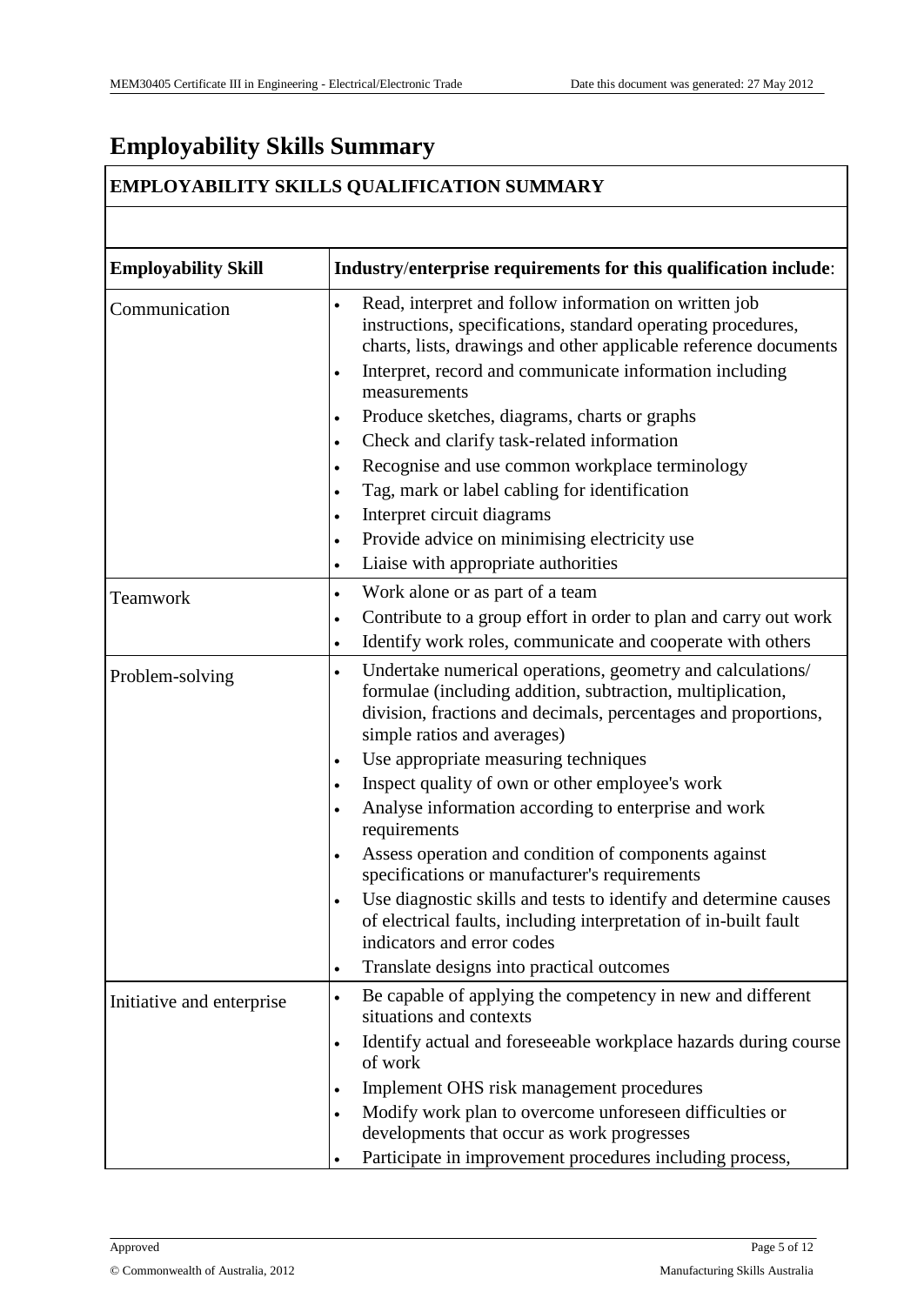# **Employability Skills Summary**

### **EMPLOYABILITY SKILLS QUALIFICATION SUMMARY**

| <b>Employability Skill</b> | Industry/enterprise requirements for this qualification include:                                                                                                                                                                                                                                                                                                                                                                                                                                                                                                                                                                                                                                                                                                                                       |
|----------------------------|--------------------------------------------------------------------------------------------------------------------------------------------------------------------------------------------------------------------------------------------------------------------------------------------------------------------------------------------------------------------------------------------------------------------------------------------------------------------------------------------------------------------------------------------------------------------------------------------------------------------------------------------------------------------------------------------------------------------------------------------------------------------------------------------------------|
| Communication              | Read, interpret and follow information on written job<br>$\bullet$<br>instructions, specifications, standard operating procedures,<br>charts, lists, drawings and other applicable reference documents<br>Interpret, record and communicate information including<br>$\bullet$<br>measurements<br>Produce sketches, diagrams, charts or graphs<br>$\bullet$<br>Check and clarify task-related information<br>$\bullet$<br>Recognise and use common workplace terminology<br>$\bullet$<br>Tag, mark or label cabling for identification<br>$\bullet$<br>Interpret circuit diagrams<br>$\bullet$<br>Provide advice on minimising electricity use<br>$\bullet$<br>Liaise with appropriate authorities<br>$\bullet$                                                                                        |
| Teamwork                   | Work alone or as part of a team<br>$\bullet$<br>Contribute to a group effort in order to plan and carry out work<br>$\bullet$<br>Identify work roles, communicate and cooperate with others<br>$\bullet$                                                                                                                                                                                                                                                                                                                                                                                                                                                                                                                                                                                               |
| Problem-solving            | Undertake numerical operations, geometry and calculations/<br>$\bullet$<br>formulae (including addition, subtraction, multiplication,<br>division, fractions and decimals, percentages and proportions,<br>simple ratios and averages)<br>Use appropriate measuring techniques<br>$\bullet$<br>Inspect quality of own or other employee's work<br>$\bullet$<br>Analyse information according to enterprise and work<br>$\bullet$<br>requirements<br>Assess operation and condition of components against<br>$\bullet$<br>specifications or manufacturer's requirements<br>Use diagnostic skills and tests to identify and determine causes<br>of electrical faults, including interpretation of in-built fault<br>indicators and error codes<br>Translate designs into practical outcomes<br>$\bullet$ |
| Initiative and enterprise  | Be capable of applying the competency in new and different<br>$\bullet$<br>situations and contexts<br>Identify actual and foreseeable workplace hazards during course<br>$\bullet$<br>of work<br>Implement OHS risk management procedures<br>$\bullet$<br>Modify work plan to overcome unforeseen difficulties or<br>developments that occur as work progresses<br>Participate in improvement procedures including process,                                                                                                                                                                                                                                                                                                                                                                            |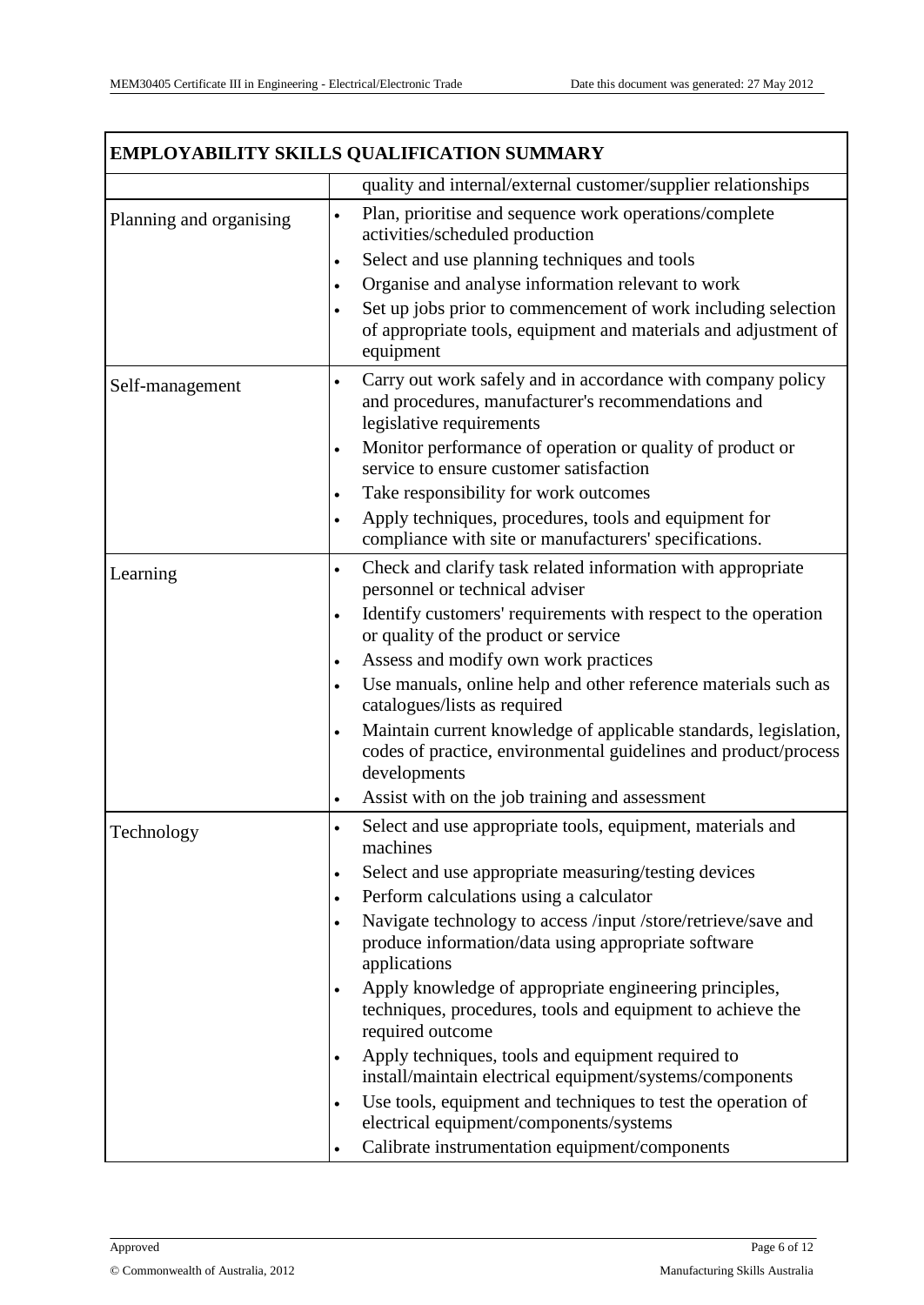|                         | EMPLOYABILITY SKILLS QUALIFICATION SUMMARY                                                                                                                       |  |
|-------------------------|------------------------------------------------------------------------------------------------------------------------------------------------------------------|--|
|                         | quality and internal/external customer/supplier relationships                                                                                                    |  |
| Planning and organising | Plan, prioritise and sequence work operations/complete<br>activities/scheduled production                                                                        |  |
|                         | Select and use planning techniques and tools<br>$\bullet$                                                                                                        |  |
|                         | Organise and analyse information relevant to work<br>$\bullet$                                                                                                   |  |
|                         | Set up jobs prior to commencement of work including selection<br>of appropriate tools, equipment and materials and adjustment of<br>equipment                    |  |
| Self-management         | Carry out work safely and in accordance with company policy<br>$\bullet$<br>and procedures, manufacturer's recommendations and<br>legislative requirements       |  |
|                         | Monitor performance of operation or quality of product or<br>$\bullet$<br>service to ensure customer satisfaction                                                |  |
|                         | Take responsibility for work outcomes<br>$\bullet$                                                                                                               |  |
|                         | Apply techniques, procedures, tools and equipment for<br>$\bullet$<br>compliance with site or manufacturers' specifications.                                     |  |
| Learning                | Check and clarify task related information with appropriate<br>$\bullet$<br>personnel or technical adviser                                                       |  |
|                         | Identify customers' requirements with respect to the operation<br>$\bullet$<br>or quality of the product or service                                              |  |
|                         | Assess and modify own work practices<br>$\bullet$                                                                                                                |  |
|                         | Use manuals, online help and other reference materials such as<br>$\bullet$<br>catalogues/lists as required                                                      |  |
|                         | Maintain current knowledge of applicable standards, legislation,<br>$\bullet$<br>codes of practice, environmental guidelines and product/process<br>developments |  |
|                         | Assist with on the job training and assessment<br>$\bullet$                                                                                                      |  |
| Technology              | Select and use appropriate tools, equipment, materials and<br>$\bullet$<br>machines                                                                              |  |
|                         | Select and use appropriate measuring/testing devices<br>$\bullet$                                                                                                |  |
|                         | Perform calculations using a calculator<br>$\bullet$                                                                                                             |  |
|                         | Navigate technology to access /input /store/retrieve/save and<br>produce information/data using appropriate software<br>applications                             |  |
|                         | Apply knowledge of appropriate engineering principles,<br>$\bullet$<br>techniques, procedures, tools and equipment to achieve the<br>required outcome            |  |
|                         | Apply techniques, tools and equipment required to<br>$\bullet$<br>install/maintain electrical equipment/systems/components                                       |  |
|                         | Use tools, equipment and techniques to test the operation of<br>$\bullet$<br>electrical equipment/components/systems                                             |  |
|                         | Calibrate instrumentation equipment/components<br>$\bullet$                                                                                                      |  |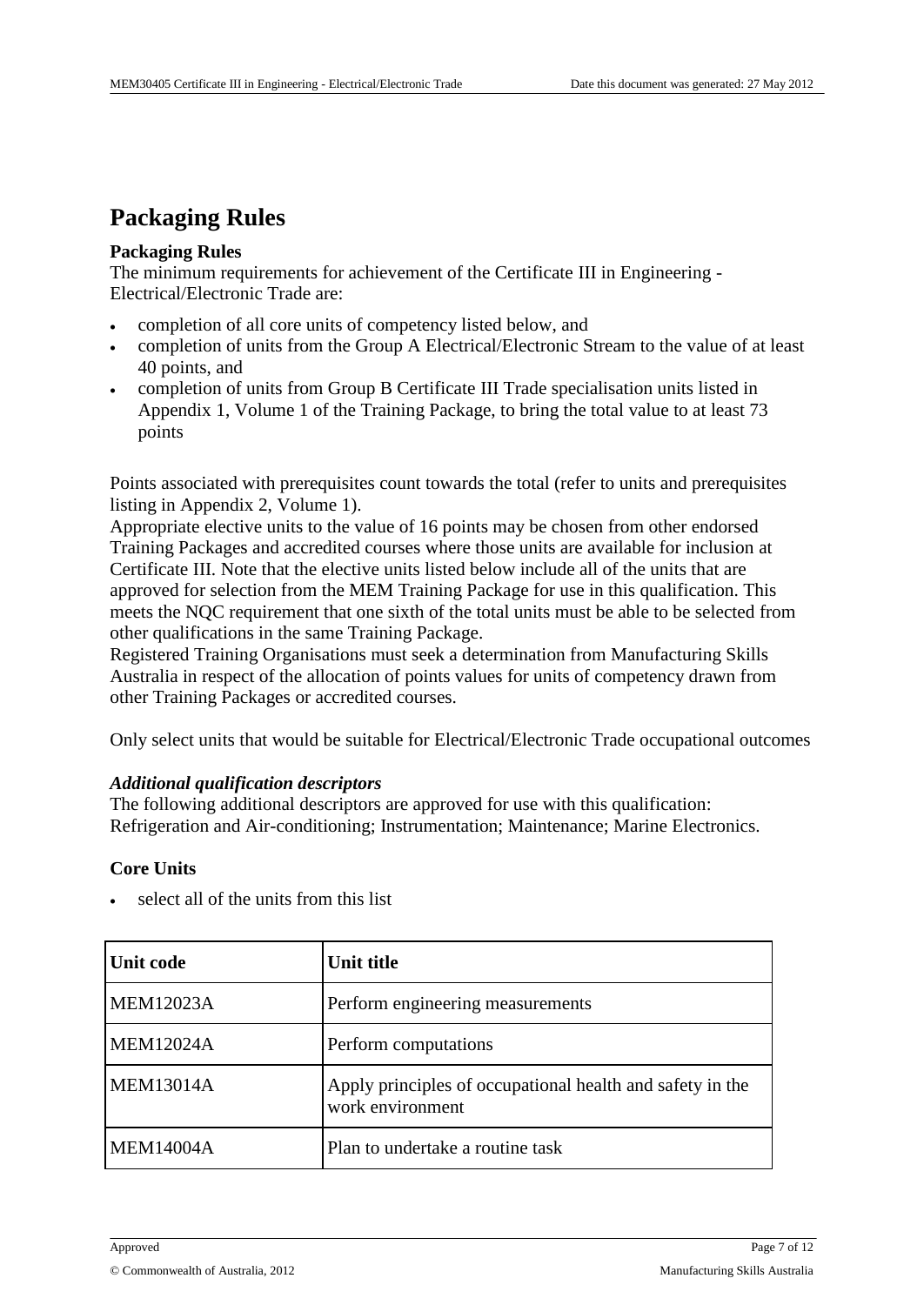### **Packaging Rules**

#### **Packaging Rules**

The minimum requirements for achievement of the Certificate III in Engineering - Electrical/Electronic Trade are:

- completion of all core units of competency listed below, and
- completion of units from the Group A Electrical/Electronic Stream to the value of at least 40 points, and
- completion of units from Group B Certificate III Trade specialisation units listed in Appendix 1, Volume 1 of the Training Package, to bring the total value to at least 73 points

Points associated with prerequisites count towards the total (refer to units and prerequisites listing in Appendix 2, Volume 1).

Appropriate elective units to the value of 16 points may be chosen from other endorsed Training Packages and accredited courses where those units are available for inclusion at Certificate III. Note that the elective units listed below include all of the units that are approved for selection from the MEM Training Package for use in this qualification. This meets the NQC requirement that one sixth of the total units must be able to be selected from other qualifications in the same Training Package.

Registered Training Organisations must seek a determination from Manufacturing Skills Australia in respect of the allocation of points values for units of competency drawn from other Training Packages or accredited courses.

Only select units that would be suitable for Electrical/Electronic Trade occupational outcomes

#### *Additional qualification descriptors*

The following additional descriptors are approved for use with this qualification: Refrigeration and Air-conditioning; Instrumentation; Maintenance; Marine Electronics.

#### **Core Units**

| Unit code        | Unit title                                                                    |
|------------------|-------------------------------------------------------------------------------|
| <b>MEM12023A</b> | Perform engineering measurements                                              |
| <b>MEM12024A</b> | Perform computations                                                          |
| <b>MEM13014A</b> | Apply principles of occupational health and safety in the<br>work environment |
| <b>MEM14004A</b> | Plan to undertake a routine task                                              |

select all of the units from this list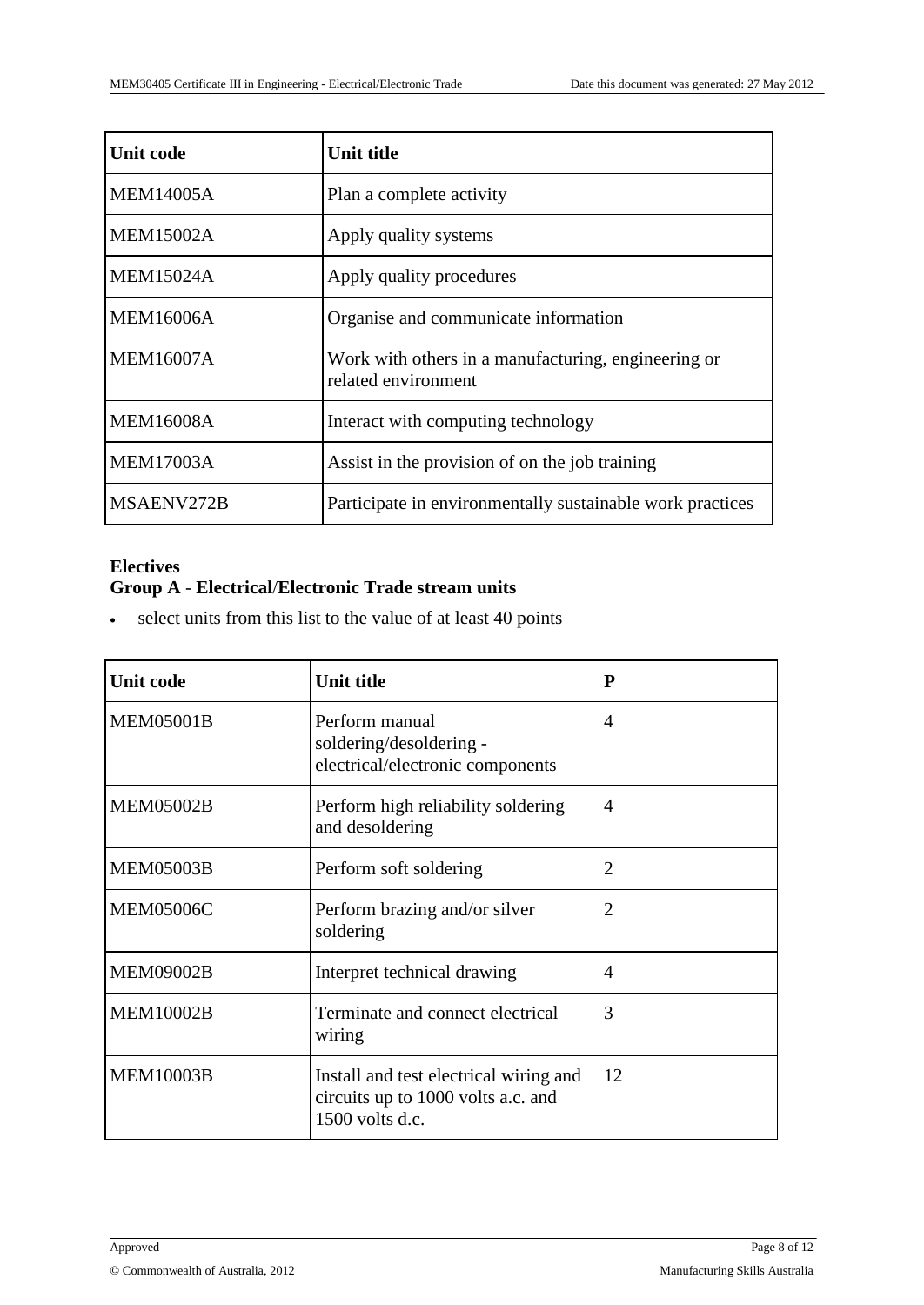| <b>Unit code</b> | Unit title                                                                 |
|------------------|----------------------------------------------------------------------------|
| <b>MEM14005A</b> | Plan a complete activity                                                   |
| <b>MEM15002A</b> | Apply quality systems                                                      |
| <b>MEM15024A</b> | Apply quality procedures                                                   |
| <b>MEM16006A</b> | Organise and communicate information                                       |
| <b>MEM16007A</b> | Work with others in a manufacturing, engineering or<br>related environment |
| <b>MEM16008A</b> | Interact with computing technology                                         |
| <b>MEM17003A</b> | Assist in the provision of on the job training                             |
| MSAENV272B       | Participate in environmentally sustainable work practices                  |

### **Electives Group A** - **Electrical**/**Electronic Trade stream units**

select units from this list to the value of at least 40 points

| <b>Unit code</b> | <b>Unit title</b>                                                                               | P              |
|------------------|-------------------------------------------------------------------------------------------------|----------------|
| <b>MEM05001B</b> | Perform manual<br>soldering/desoldering -<br>electrical/electronic components                   | 4              |
| <b>MEM05002B</b> | Perform high reliability soldering<br>and desoldering                                           | $\overline{4}$ |
| <b>MEM05003B</b> | Perform soft soldering                                                                          | $\overline{2}$ |
| <b>MEM05006C</b> | Perform brazing and/or silver<br>soldering                                                      | $\overline{2}$ |
| <b>MEM09002B</b> | Interpret technical drawing                                                                     | $\overline{A}$ |
| <b>MEM10002B</b> | Terminate and connect electrical<br>wiring                                                      | 3              |
| <b>MEM10003B</b> | Install and test electrical wiring and<br>circuits up to 1000 volts a.c. and<br>1500 volts d.c. | 12             |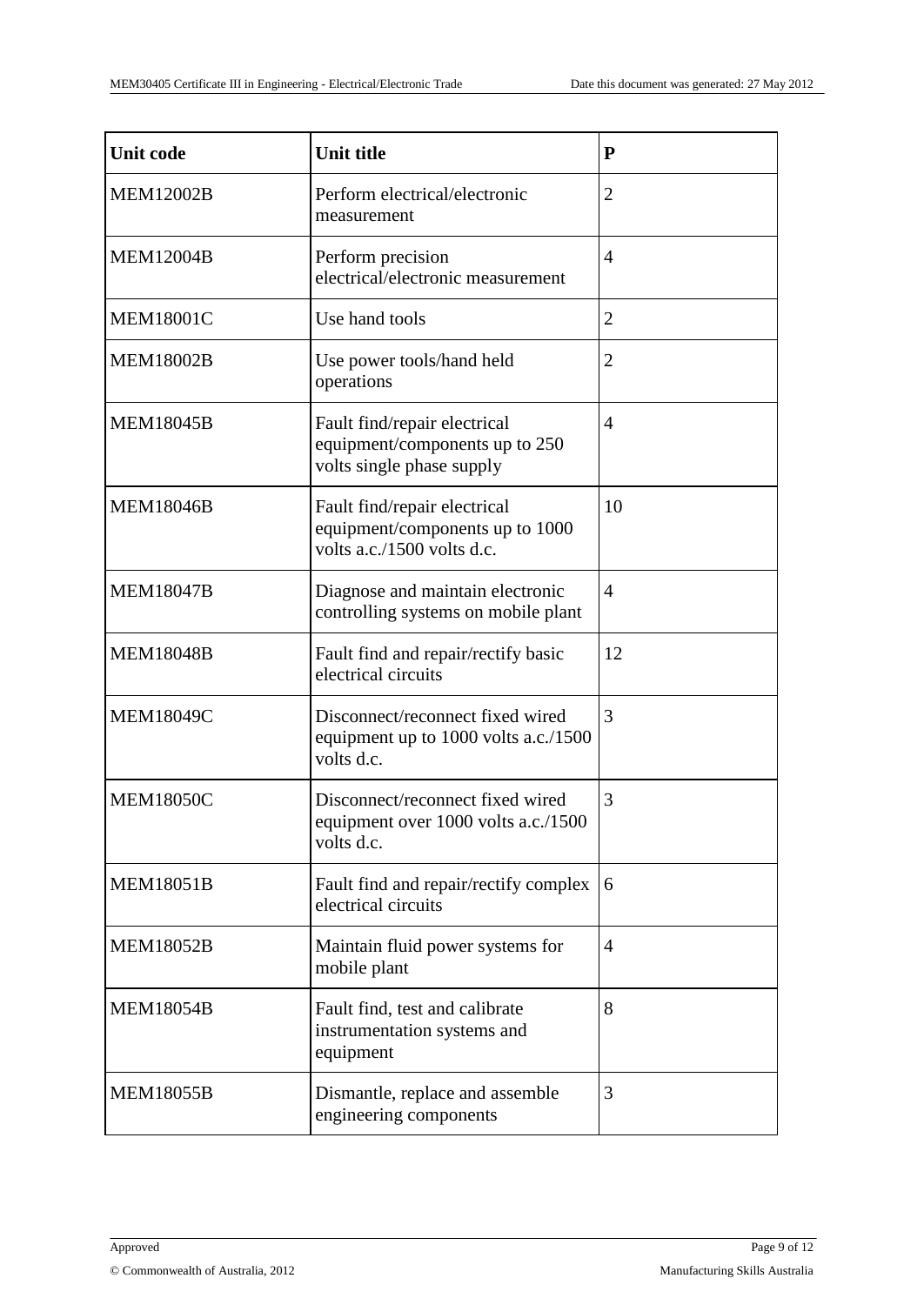| <b>Unit code</b> | <b>Unit title</b>                                                                             | P              |
|------------------|-----------------------------------------------------------------------------------------------|----------------|
| <b>MEM12002B</b> | Perform electrical/electronic<br>measurement                                                  | $\overline{2}$ |
| <b>MEM12004B</b> | Perform precision<br>electrical/electronic measurement                                        | $\overline{4}$ |
| <b>MEM18001C</b> | Use hand tools                                                                                | $\overline{2}$ |
| <b>MEM18002B</b> | Use power tools/hand held<br>operations                                                       | $\overline{2}$ |
| <b>MEM18045B</b> | Fault find/repair electrical<br>equipment/components up to 250<br>volts single phase supply   | $\overline{4}$ |
| <b>MEM18046B</b> | Fault find/repair electrical<br>equipment/components up to 1000<br>volts a.c./1500 volts d.c. | 10             |
| <b>MEM18047B</b> | Diagnose and maintain electronic<br>controlling systems on mobile plant                       | $\overline{4}$ |
| <b>MEM18048B</b> | Fault find and repair/rectify basic<br>electrical circuits                                    | 12             |
| <b>MEM18049C</b> | Disconnect/reconnect fixed wired<br>equipment up to 1000 volts a.c./1500<br>volts d.c.        | 3              |
| <b>MEM18050C</b> | Disconnect/reconnect fixed wired<br>equipment over 1000 volts a.c./1500<br>volts d.c.         | 3              |
| <b>MEM18051B</b> | Fault find and repair/rectify complex<br>electrical circuits                                  | 6              |
| <b>MEM18052B</b> | Maintain fluid power systems for<br>mobile plant                                              | $\overline{4}$ |
| <b>MEM18054B</b> | Fault find, test and calibrate<br>instrumentation systems and<br>equipment                    | 8              |
| <b>MEM18055B</b> | Dismantle, replace and assemble<br>engineering components                                     | 3              |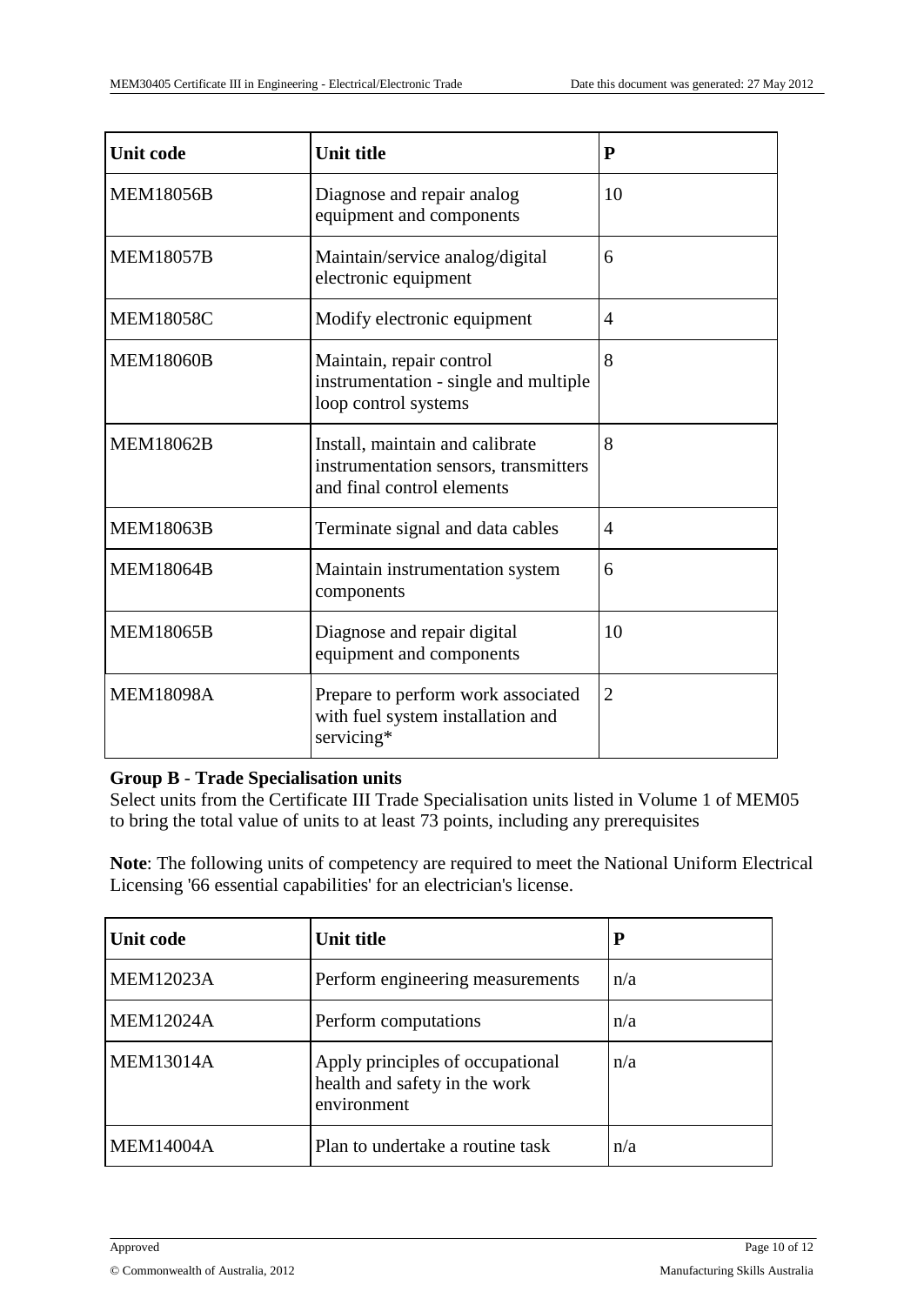| <b>Unit code</b> | <b>Unit title</b>                                                                                      | P              |
|------------------|--------------------------------------------------------------------------------------------------------|----------------|
| <b>MEM18056B</b> | Diagnose and repair analog<br>equipment and components                                                 | 10             |
| <b>MEM18057B</b> | Maintain/service analog/digital<br>electronic equipment                                                | 6              |
| <b>MEM18058C</b> | Modify electronic equipment                                                                            | $\overline{4}$ |
| <b>MEM18060B</b> | Maintain, repair control<br>instrumentation - single and multiple<br>loop control systems              | 8              |
| <b>MEM18062B</b> | Install, maintain and calibrate<br>instrumentation sensors, transmitters<br>and final control elements | 8              |
| <b>MEM18063B</b> | Terminate signal and data cables                                                                       | $\overline{4}$ |
| <b>MEM18064B</b> | Maintain instrumentation system<br>components                                                          | 6              |
| <b>MEM18065B</b> | Diagnose and repair digital<br>equipment and components                                                | 10             |
| <b>MEM18098A</b> | Prepare to perform work associated<br>with fuel system installation and<br>servicing*                  | $\overline{2}$ |

#### **Group B** - **Trade Specialisation units**

Select units from the Certificate III Trade Specialisation units listed in Volume 1 of MEM05 to bring the total value of units to at least 73 points, including any prerequisites

**Note**: The following units of competency are required to meet the National Uniform Electrical Licensing '66 essential capabilities' for an electrician's license.

| Unit code        | <b>Unit title</b>                                                                |     |
|------------------|----------------------------------------------------------------------------------|-----|
| <b>MEM12023A</b> | Perform engineering measurements                                                 | n/a |
| <b>MEM12024A</b> | Perform computations                                                             | n/a |
| <b>MEM13014A</b> | Apply principles of occupational<br>health and safety in the work<br>environment | n/a |
| <b>MEM14004A</b> | Plan to undertake a routine task                                                 | n/a |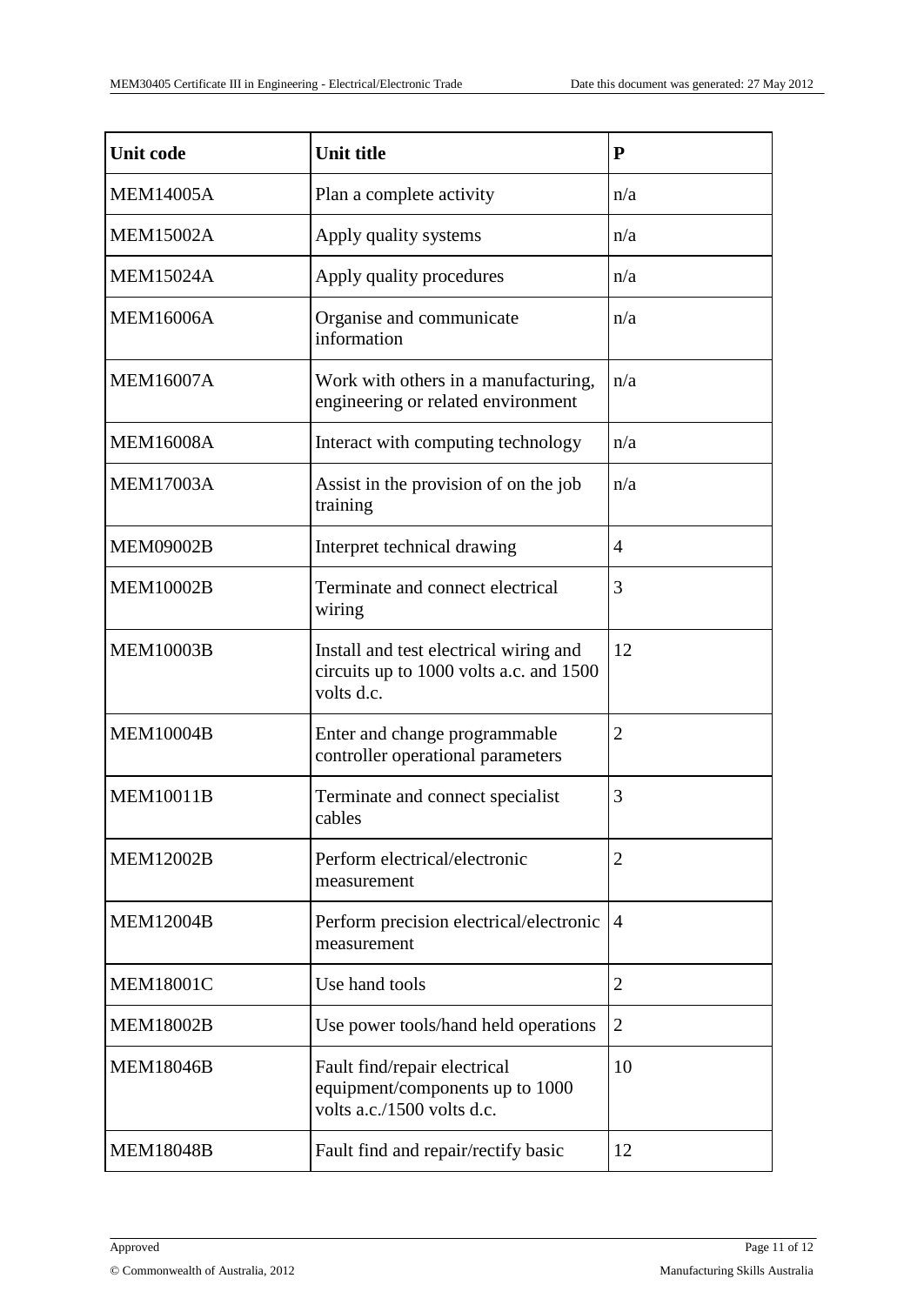| <b>Unit code</b> | <b>Unit title</b>                                                                               | P              |
|------------------|-------------------------------------------------------------------------------------------------|----------------|
| <b>MEM14005A</b> | Plan a complete activity                                                                        | n/a            |
| <b>MEM15002A</b> | Apply quality systems                                                                           | n/a            |
| <b>MEM15024A</b> | Apply quality procedures                                                                        | n/a            |
| <b>MEM16006A</b> | Organise and communicate<br>information                                                         | n/a            |
| <b>MEM16007A</b> | Work with others in a manufacturing,<br>engineering or related environment                      | n/a            |
| <b>MEM16008A</b> | Interact with computing technology                                                              | n/a            |
| <b>MEM17003A</b> | Assist in the provision of on the job<br>training                                               | n/a            |
| <b>MEM09002B</b> | Interpret technical drawing                                                                     | $\overline{4}$ |
| <b>MEM10002B</b> | Terminate and connect electrical<br>wiring                                                      | 3              |
| <b>MEM10003B</b> | Install and test electrical wiring and<br>circuits up to 1000 volts a.c. and 1500<br>volts d.c. | 12             |
| <b>MEM10004B</b> | Enter and change programmable<br>controller operational parameters                              | $\overline{2}$ |
| <b>MEM10011B</b> | Terminate and connect specialist<br>cables                                                      | 3              |
| <b>MEM12002B</b> | Perform electrical/electronic<br>measurement                                                    | $\overline{2}$ |
| <b>MEM12004B</b> | Perform precision electrical/electronic<br>measurement                                          | $\overline{4}$ |
| <b>MEM18001C</b> | Use hand tools                                                                                  | $\overline{2}$ |
| <b>MEM18002B</b> | Use power tools/hand held operations                                                            | 2              |
| <b>MEM18046B</b> | Fault find/repair electrical<br>equipment/components up to 1000<br>volts a.c./1500 volts d.c.   | 10             |
| <b>MEM18048B</b> | Fault find and repair/rectify basic                                                             | 12             |